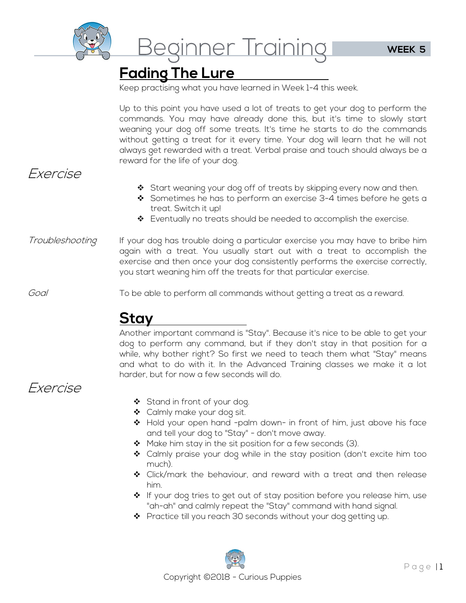

Beginner Training

# **Fading The Lure**

Keep practising what you have learned in Week 1-4 this week.

Up to this point you have used a lot of treats to get your dog to perform the commands. You may have already done this, but it's time to slowly start weaning your dog off some treats. It's time he starts to do the commands without getting a treat for it every time. Your dog will learn that he will not always get rewarded with a treat. Verbal praise and touch should always be a reward for the life of your dog.

#### Exercise

- Start weaning your dog off of treats by skipping every now and then.
- Sometimes he has to perform an exercise 3-4 times before he gets a treat. Switch it up!
- ◆ Eventually no treats should be needed to accomplish the exercise.
- Troubleshooting If your dog has trouble doing a particular exercise you may have to bribe him again with a treat. You usually start out with a treat to accomplish the exercise and then once your dog consistently performs the exercise correctly, you start weaning him off the treats for that particular exercise.

Goal To be able to perform all commands without getting a treat as a reward.

## **Stay**

Another important command is "Stay". Because it's nice to be able to get your dog to perform any command, but if they don't stay in that position for a while, why bother right? So first we need to teach them what "Stay" means and what to do with it. In the Advanced Training classes we make it a lot harder, but for now a few seconds will do.

### Exercise

- ❖ Stand in front of your dog.
- ◆ Calmly make your dog sit.
- \* Hold your open hand -palm down- in front of him, just above his face and tell your dog to "Stay" - don't move away.
- $\clubsuit$  Make him stay in the sit position for a few seconds (3).
- Calmly praise your dog while in the stay position (don't excite him too much).
- Click/mark the behaviour, and reward with a treat and then release him.
- $\clubsuit$  If your dog tries to get out of stay position before you release him, use "ah-ah" and calmly repeat the "Stay" command with hand signal.
- $\clubsuit$  Practice till you reach 30 seconds without your dog getting up.